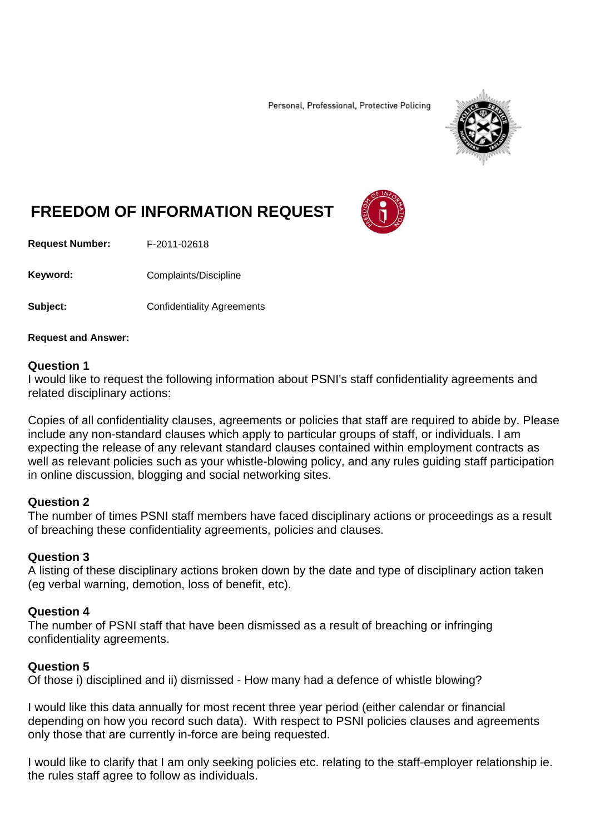Personal, Professional, Protective Policing



# **FREEDOM OF INFORMATION REQUEST**

**Request Number:** F-2011-02618

Keyword: Complaints/Discipline

**Subject:** Confidentiality Agreements

**Request and Answer:**

#### **Question 1**

I would like to request the following information about PSNI's staff confidentiality agreements and related disciplinary actions:

Copies of all confidentiality clauses, agreements or policies that staff are required to abide by. Please include any non-standard clauses which apply to particular groups of staff, or individuals. I am expecting the release of any relevant standard clauses contained within employment contracts as well as relevant policies such as your whistle-blowing policy, and any rules guiding staff participation in online discussion, blogging and social networking sites.

## **Question 2**

The number of times PSNI staff members have faced disciplinary actions or proceedings as a result of breaching these confidentiality agreements, policies and clauses.

## **Question 3**

A listing of these disciplinary actions broken down by the date and type of disciplinary action taken (eg verbal warning, demotion, loss of benefit, etc).

## **Question 4**

The number of PSNI staff that have been dismissed as a result of breaching or infringing confidentiality agreements.

## **Question 5**

Of those i) disciplined and ii) dismissed - How many had a defence of whistle blowing?

I would like this data annually for most recent three year period (either calendar or financial depending on how you record such data). With respect to PSNI policies clauses and agreements only those that are currently in-force are being requested.

I would like to clarify that I am only seeking policies etc. relating to the staff-employer relationship ie. the rules staff agree to follow as individuals.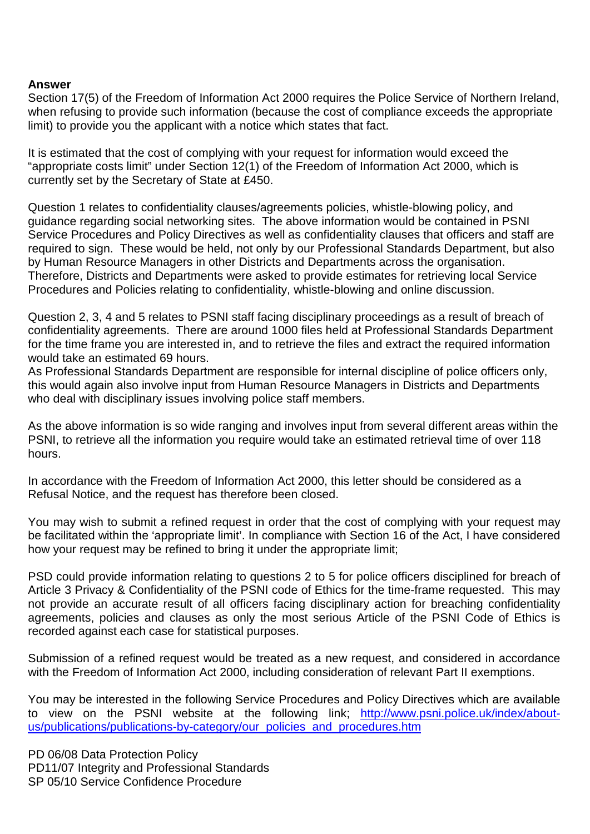#### **Answer**

Section 17(5) of the Freedom of Information Act 2000 requires the Police Service of Northern Ireland, when refusing to provide such information (because the cost of compliance exceeds the appropriate limit) to provide you the applicant with a notice which states that fact.

It is estimated that the cost of complying with your request for information would exceed the "appropriate costs limit" under Section 12(1) of the Freedom of Information Act 2000, which is currently set by the Secretary of State at £450.

Question 1 relates to confidentiality clauses/agreements policies, whistle-blowing policy, and guidance regarding social networking sites. The above information would be contained in PSNI Service Procedures and Policy Directives as well as confidentiality clauses that officers and staff are required to sign. These would be held, not only by our Professional Standards Department, but also by Human Resource Managers in other Districts and Departments across the organisation. Therefore, Districts and Departments were asked to provide estimates for retrieving local Service Procedures and Policies relating to confidentiality, whistle-blowing and online discussion.

Question 2, 3, 4 and 5 relates to PSNI staff facing disciplinary proceedings as a result of breach of confidentiality agreements. There are around 1000 files held at Professional Standards Department for the time frame you are interested in, and to retrieve the files and extract the required information would take an estimated 69 hours.

As Professional Standards Department are responsible for internal discipline of police officers only, this would again also involve input from Human Resource Managers in Districts and Departments who deal with disciplinary issues involving police staff members.

As the above information is so wide ranging and involves input from several different areas within the PSNI, to retrieve all the information you require would take an estimated retrieval time of over 118 hours.

In accordance with the Freedom of Information Act 2000, this letter should be considered as a Refusal Notice, and the request has therefore been closed.

You may wish to submit a refined request in order that the cost of complying with your request may be facilitated within the 'appropriate limit'. In compliance with Section 16 of the Act, I have considered how your request may be refined to bring it under the appropriate limit;

PSD could provide information relating to questions 2 to 5 for police officers disciplined for breach of Article 3 Privacy & Confidentiality of the PSNI code of Ethics for the time-frame requested. This may not provide an accurate result of all officers facing disciplinary action for breaching confidentiality agreements, policies and clauses as only the most serious Article of the PSNI Code of Ethics is recorded against each case for statistical purposes.

Submission of a refined request would be treated as a new request, and considered in accordance with the Freedom of Information Act 2000, including consideration of relevant Part II exemptions.

You may be interested in the following Service Procedures and Policy Directives which are available to view on the PSNI website at the following link; [http://www.psni.police.uk/index/about](http://www.psni.police.uk/index/about-us/publications/publications-by-category/our_policies_and_procedures.htm)[us/publications/publications-by-category/our\\_policies\\_and\\_procedures.htm](http://www.psni.police.uk/index/about-us/publications/publications-by-category/our_policies_and_procedures.htm)

PD 06/08 Data Protection Policy PD11/07 Integrity and Professional Standards SP 05/10 Service Confidence Procedure